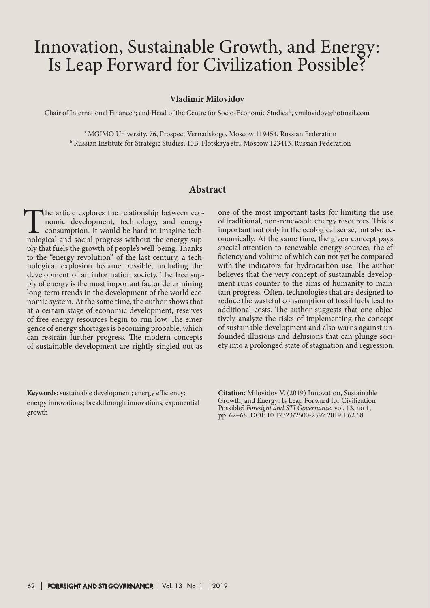# Innovation, Sustainable Growth, and Energy: Is Leap Forward for Civilization Possible?

#### **Vladimir Milovidov**

Chair of International Finance <sup>a</sup>; and Head of the Centre for Socio-Economic Studies <sup>b</sup>, vmilovidov@hotmail.com

a MGIMO University, 76, Prospect Vernadskogo, Moscow 119454, Russian Federation b Russian Institute for Strategic Studies, 15B, Flotskaya str., Moscow 123413, Russian Federation

## **Abstract**

The article explores the relationship between eco-<br>nomic development, technology, and energy<br>consumption. It would be hard to imagine tech-<br>nological and social progress without the energy supnomic development, technology, and energy consumption. It would be hard to imagine techply that fuels the growth of people's well-being. Thanks to the "energy revolution" of the last century, a technological explosion became possible, including the development of an information society. The free supply of energy is the most important factor determining long-term trends in the development of the world economic system. At the same time, the author shows that at a certain stage of economic development, reserves of free energy resources begin to run low. The emergence of energy shortages is becoming probable, which can restrain further progress. The modern concepts of sustainable development are rightly singled out as

**Keywords:** sustainable development; energy efficiency; energy innovations; breakthrough innovations; exponential growth

one of the most important tasks for limiting the use of traditional, non-renewable energy resources. This is important not only in the ecological sense, but also economically. At the same time, the given concept pays special attention to renewable energy sources, the efficiency and volume of which can not yet be compared with the indicators for hydrocarbon use. The author believes that the very concept of sustainable development runs counter to the aims of humanity to maintain progress. Often, technologies that are designed to reduce the wasteful consumption of fossil fuels lead to additional costs. The author suggests that one objectively analyze the risks of implementing the concept of sustainable development and also warns against unfounded illusions and delusions that can plunge society into a prolonged state of stagnation and regression.

**Citation:** Milovidov V. (2019) Innovation, Sustainable Growth, and Energy: Is Leap Forward for Civilization Possible? *Foresight and STI Governance*, vol. 13, no 1, pp. 62–68. DOI: 10.17323/2500-2597.2019.1.62.68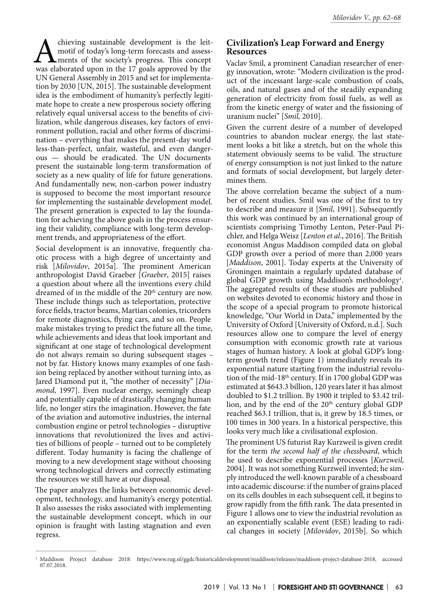Achieving sustainable development is the leit-<br>motif of today's long-term forecasts and assess-<br>ments of the society's progress. This concept<br>was elaborated upon in the 17 goals approved by the motif of today's long-term forecasts and assessments of the society's progress. This concept UN General Assembly in 2015 and set for implementation by 2030 [UN, 2015]. The sustainable development idea is the embodiment of humanity's perfectly legitimate hope to create a new prosperous society offering relatively equal universal access to the benefits of civilization, while dangerous diseases, key factors of environment pollution, racial and other forms of discrimination – everything that makes the present-day world less-than-perfect, unfair, wasteful, and even dangerous — should be eradicated. The UN documents present the sustainable long-term transformation of society as a new quality of life for future generations. And fundamentally new, non-carbon power industry is supposed to become the most important resource for implementing the sustainable development model. The present generation is expected to lay the foundation for achieving the above goals in the process ensuring their validity, compliance with long-term development trends, and appropriateness of the effort.

Social development is an innovative, frequently chaotic process with a high degree of uncertainty and risk [*Milovidov*, 2015a]. The prominent American anthropologist David Graeber [*Graeber*, 2015] raises a question about where all the inventions every child dreamed of in the middle of the 20<sup>th</sup> century are now. These include things such as teleportation, protective force fields, tractor beams, Martian colonies, tricorders for remote diagnostics, flying cars, and so on. People make mistakes trying to predict the future all the time, while achievements and ideas that look important and significant at one stage of technological development do not always remain so during subsequent stages – not by far. History knows many examples of one fashion being replaced by another without turning into, as Jared Diamond put it, "the mother of necessity" [*Diamond*, 1997]. Even nuclear energy, seemingly cheap and potentially capable of drastically changing human life, no longer stirs the imagination. However, the fate of the aviation and automotive industries, the internal combustion engine or petrol technologies – disruptive innovations that revolutionized the lives and activities of billions of people – turned out to be completely different. Today humanity is facing the challenge of moving to a new development stage without choosing wrong technological drivers and correctly estimating the resources we still have at our disposal.

The paper analyzes the links between economic development, technology, and humanity's energy potential. It also assesses the risks associated with implementing the sustainable development concept, which in our opinion is fraught with lasting stagnation and even regress.

## **Civilization's Leap Forward and Energy Resources**

Vaclav Smil, a prominent Canadian researcher of energy innovation, wrote: "Modern civilization is the product of the incessant large-scale combustion of coals, oils, and natural gases and of the steadily expanding generation of electricity from fossil fuels, as well as from the kinetic energy of water and the fissioning of uranium nuclei" [*Smil,* 2010].

Given the current desire of a number of developed countries to abandon nuclear energy, the last statement looks a bit like a stretch, but on the whole this statement obviously seems to be valid. The structure of energy consumption is not just linked to the nature and formats of social development, but largely determines them.

The above correlation became the subject of a number of recent studies. Smil was one of the first to try to describe and measure it [*Smil*, 1991]. Subsequently this work was continued by an international group of scientists comprising Timothy Lenton, Peter-Paul Pichler, and Helga Weisz [*Lenton et al*., 2016]. The British economist Angus Maddison compiled data on global GDP growth over a period of more than 2,000 years [*Maddison*, 2001]. Today experts at the University of Groningen maintain a regularly updated database of global GDP growth using Maddison's methodology<sup>1</sup>. The aggregated results of these studies are published on websites devoted to economic history and those in the scope of a special program to promote historical knowledge, "Our World in Data," implemented by the University of Oxford [University of Oxford, n.d.]. Such resources allow one to compare the level of energy consumption with economic growth rate at various stages of human history. A look at global GDP's longterm growth trend (Figure 1) immediately reveals its exponential nature starting from the industrial revolution of the mid-18th century. If in 1700 global GDP was estimated at \$643.3 billion, 120 years later it has almost doubled to \$1.2 trillion. By 1900 it tripled to \$3.42 trillion, and by the end of the  $20<sup>th</sup>$  century global GDP reached \$63.1 trillion, that is, it grew by 18.5 times, or 100 times in 300 years. In a historical perspective, this looks very much like a civilisational explosion.

The prominent US futurist Ray Kurzweil is given credit for the term *the second half of the chessboard*, which he used to describe exponential processes [*Kurzweil,* 2004]. It was not something Kurzweil invented; he simply introduced the well-known parable of a chessboard into academic discourse: if the number of grains placed on its cells doubles in each subsequent cell, it begins to grow rapidly from the fifth rank. The data presented in Figure 1 allows one to view the industrial revolution as an exponentially scalable event (ESE) leading to radical changes in society [*Milovidov*, 2015b]. So which

<sup>1</sup> Maddison Project database 2018: https://www.rug.nl/ggdc/historicaldevelopment/maddison/releases/maddison-project-database-2018, accessed 07.07.2018.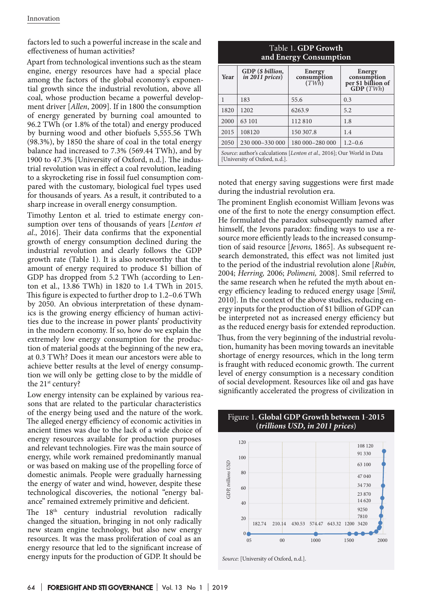factors led to such a powerful increase in the scale and effectiveness of human activities?

Apart from technological inventions such as the steam engine, energy resources have had a special place among the factors of the global economy's exponential growth since the industrial revolution, above all coal, whose production became a powerful development driver [*Allen*, 2009]. If in 1800 the consumption of energy generated by burning coal amounted to 96.2 TWh (or 1.8% of the total) and energy produced by burning wood and other biofuels 5,555.56 TWh (98.3%), by 1850 the share of coal in the total energy balance had increased to 7.3% (569.44 TWh), and by 1900 to 47.3% [University of Oxford, n.d.]. The industrial revolution was in effect a coal revolution, leading to a skyrocketing rise in fossil fuel consumption compared with the customary, biological fuel types used for thousands of years. As a result, it contributed to a sharp increase in overall energy consumption.

Timothy Lenton et al. tried to estimate energy consumption over tens of thousands of years [*Lenton et al*., 2016]. Their data confirms that the exponential growth of energy consumption declined during the industrial revolution and clearly follows the GDP growth rate (Table 1). It is also noteworthy that the amount of energy required to produce \$1 billion of GDP has dropped from 5.2 TWh (according to Lenton et al., 13.86 TWh) in 1820 to 1.4 TWh in 2015. This figure is expected to further drop to 1.2–0.6 TWh by 2050. An obvious interpretation of these dynamics is the growing energy efficiency of human activities due to the increase in power plants' productivity in the modern economy. If so, how do we explain the extremely low energy consumption for the production of material goods at the beginning of the new era, at 0.3 TWh? Does it mean our ancestors were able to achieve better results at the level of energy consumption we will only be getting close to by the middle of the 21<sup>st</sup> century?

Low energy intensity can be explained by various reasons that are related to the particular characteristics of the energy being used and the nature of the work. The alleged energy efficiency of economic activities in ancient times was due to the lack of a wide choice of energy resources available for production purposes and relevant technologies. Fire was the main source of energy, while work remained predominantly manual or was based on making use of the propelling force of domestic animals. People were gradually harnessing the energy of water and wind, however, despite these technological discoveries, the notional "energy balance" remained extremely primitive and deficient.

The 18<sup>th</sup> century industrial revolution radically changed the situation, bringing in not only radically new steam engine technology, but also new energy resources. It was the mass proliferation of coal as an energy resource that led to the significant increase of energy inputs for the production of GDP. It should be

| Table 1. GDP Growth<br>and Energy Consumption                                                           |                                       |                                |                                                         |
|---------------------------------------------------------------------------------------------------------|---------------------------------------|--------------------------------|---------------------------------------------------------|
| Year                                                                                                    | GDP (\$ billion,<br>$in 2011$ prices) | Energy<br>consumption<br>(TWh) | Energy<br>consumption<br>per \$1 billion of<br>GDP(TWh) |
| 1                                                                                                       | 183                                   | 55.6                           | 0.3                                                     |
| 1820                                                                                                    | 1202                                  | 6263.9                         | 5.2                                                     |
| 2000                                                                                                    | 63 101                                | 112810                         | 1.8                                                     |
| 2015                                                                                                    | 108120                                | 150 307.8                      | 1.4                                                     |
| 2050                                                                                                    | 230 000 - 330 000                     | 180 000-280 000                | $1.2 - 0.6$                                             |
| Source: author's calculations [Lenton et al., 2016]; Our World in Data<br>[University of Oxford, n.d.]. |                                       |                                |                                                         |

noted that energy saving suggestions were first made during the industrial revolution era.

The prominent English economist William Jevons was one of the first to note the energy consumption effect. He formulated the paradox subsequently named after himself, the Jevons paradox: finding ways to use a resource more efficiently leads to the increased consumption of said resource [*Jevons,* 1865]. As subsequent research demonstrated, this effect was not limited just to the period of the industrial revolution alone [*Rubin,* 2004; *Herring,* 2006; *Polimeni,* 2008]. Smil referred to the same research when he refuted the myth about energy efficiency leading to reduced energy usage [*Smil,* 2010]. In the context of the above studies, reducing energy inputs for the production of \$1 billion of GDP can be interpreted not as increased energy efficiency but as the reduced energy basis for extended reproduction.

Thus, from the very beginning of the industrial revolution, humanity has been moving towards an inevitable shortage of energy resources, which in the long term is fraught with reduced economic growth. The current level of energy consumption is a necessary condition of social development. Resources like oil and gas have significantly accelerated the progress of civilization in



#### Figure 1. **Global GDP Growth between 1-2015 (***trillions USD, in 2011 prices***)**

*Source*: [University of Oxford, n.d.].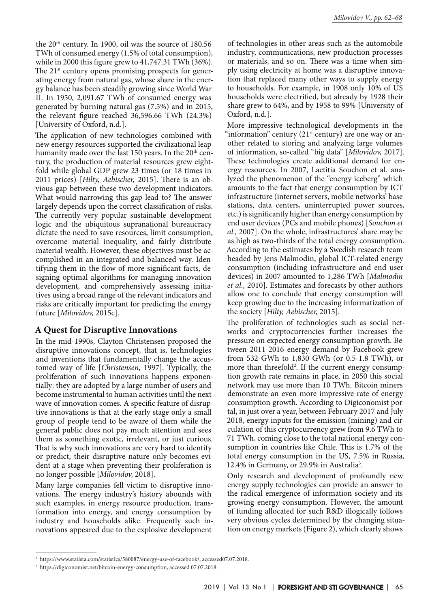the 20th century. In 1900, oil was the source of 180.56 TWh of consumed energy (1.5% of total consumption), while in 2000 this figure grew to 41,747.31 TWh (36%). The 21<sup>st</sup> century opens promising prospects for generating energy from natural gas, whose share in the energy balance has been steadily growing since World War II. In 1950, 2,091.67 TWh of consumed energy was generated by burning natural gas (7.5%) and in 2015, the relevant figure reached 36,596.66 TWh (24.3%) [University of Oxford, n.d.].

The application of new technologies combined with new energy resources supported the civilizational leap humanity made over the last 150 years. In the  $20<sup>th</sup>$  century, the production of material resources grew eightfold while global GDP grew 23 times (or 18 times in 2011 prices) [*Hilty, Aebischer,* 2015]. There is an obvious gap between these two development indicators. What would narrowing this gap lead to? The answer largely depends upon the correct classification of risks. The currently very popular sustainable development logic and the ubiquitous supranational bureaucracy dictate the need to save resources, limit consumption, overcome material inequality, and fairly distribute material wealth. However, these objectives must be accomplished in an integrated and balanced way. Identifying them in the flow of more significant facts, designing optimal algorithms for managing innovation development, and comprehensively assessing initiatives using a broad range of the relevant indicators and risks are critically important for predicting the energy future [*Milovidov,* 2015с].

## **A Quest for Disruptive Innovations**

In the mid-1990s, Clayton Christensen proposed the disruptive innovations concept, that is, technologies and inventions that fundamentally change the accustomed way of life [*Christensen,* 1997]. Typically, the proliferation of such innovations happens exponentially: they are adopted by a large number of users and become instrumental to human activities until the next wave of innovation comes. A specific feature of disruptive innovations is that at the early stage only a small group of people tend to be aware of them while the general public does not pay much attention and sees them as something exotic, irrelevant, or just curious. That is why such innovations are very hard to identify or predict, their disruptive nature only becomes evident at a stage when preventing their proliferation is no longer possible [*Milovidov,* 2018].

Many large companies fell victim to disruptive innovations. The energy industry's history abounds with such examples, in energy resource production, transformation into energy, and energy consumption by industry and households alike. Frequently such innovations appeared due to the explosive development

of technologies in other areas such as the automobile industry, communications, new production processes or materials, and so on. There was a time when simply using electricity at home was a disruptive innovation that replaced many other ways to supply energy to households. For example, in 1908 only 10% of US households were electrified, but already by 1928 their share grew to 64%, and by 1958 to 99% [University of Oxford, n.d.].

More impressive technological developments in the "information" century  $(21<sup>st</sup>$  century) are one way or another related to storing and analyzing large volumes of information, so-called "big data" [*Milovidov,* 2017]. These technologies create additional demand for energy resources. In 2007, Laetitia Souchon et al. analyzed the phenomenon of the "energy iceberg" which amounts to the fact that energy consumption by ICT infrastructure (internet servers, mobile networks' base stations, data centers, uninterrupted power sources, etc.) is significantly higher than energy consumption by end user devices (PCs and mobile phones) [*Souchon et al.,* 2007]. On the whole, infrastructures' share may be as high as two-thirds of the total energy consumption. According to the estimates by a Swedish research team headed by Jens Malmodin, global ICT-related energy consumption (including infrastructure and end user devices) in 2007 amounted to 1,286 TWh [*Malmodin et al.,* 2010]. Estimates and forecasts by other authors allow one to conclude that energy consumption will keep growing due to the increasing informatization of the society [*Hilty, Aebischer,* 2015].

The proliferation of technologies such as social networks and cryptocurrencies further increases the pressure on expected energy consumption growth. Between 2011-2016 energy demand by Facebook grew from 532 GWh to 1,830 GWh (or 0.5-1.8 TWh), or more than threefold<sup>2</sup>. If the current energy consumption growth rate remains in place, in 2050 this social network may use more than 10 TWh. Bitcoin miners demonstrate an even more impressive rate of energy consumption growth. According to Digiconomist portal, in just over a year, between February 2017 and July 2018, energy inputs for the emission (mining) and circulation of this cryptocurrency grew from 9.6 TWh to 71 TWh, coming close to the total national energy consumption in countries like Chile. This is 1.7% of the total energy consumption in the US, 7.5% in Russia, 12.4% in Germany, or 29.9% in Australia<sup>3</sup>.

Only research and development of profoundly new energy supply technologies can provide an answer to the radical emergence of information society and its growing energy consumption. However, the amount of funding allocated for such R&D illogically follows very obvious cycles determined by the changing situation on energy markets (Figure 2), which clearly shows

<sup>2</sup> https://www.statista.com/statistics/580087/energy-use-of-facebook/, accessed07.07.2018.

<sup>&</sup>lt;sup>3</sup> https://digiconomist.net/bitcoin-energy-consumption, accessed 07.07.2018.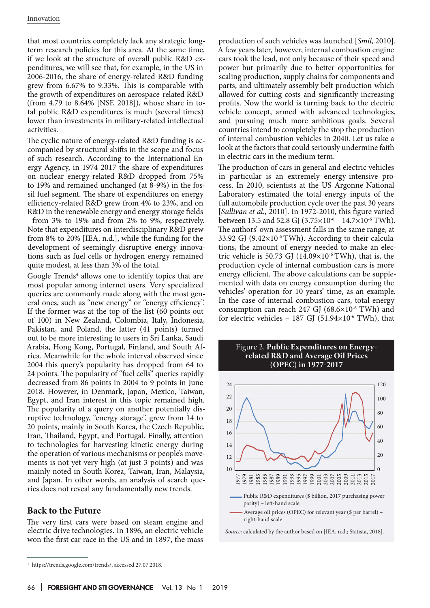that most countries completely lack any strategic longterm research policies for this area. At the same time, if we look at the structure of overall public R&D expenditures, we will see that, for example, in the US in 2006-2016, the share of energy-related R&D funding grew from 6.67% to 9.33%. This is comparable with the growth of expenditures on aerospace-related R&D (from 4.79 to 8.64% [NSF, 2018]), whose share in total public R&D expenditures is much (several times) lower than investments in military-related intellectual activities.

The cyclic nature of energy-related R&D funding is accompanied by structural shifts in the scope and focus of such research. According to the International Energy Agency, in 1974-2017 the share of expenditures on nuclear energy-related R&D dropped from 75% to 19% and remained unchanged (at 8-9%) in the fossil fuel segment. The share of expenditures on energy efficiency-related R&D grew from 4% to 23%, and on R&D in the renewable energy and energy storage fields – from 3% to 19% and from 2% to 9%, respectively. Note that expenditures on interdisciplinary R&D grew from 8% to 20% [IEA, n.d.], while the funding for the development of seemingly disruptive energy innovations such as fuel cells or hydrogen energy remained quite modest, at less than 3% of the total.

Google Trends<sup>4</sup> allows one to identify topics that are most popular among internet users. Very specialized queries are commonly made along with the most general ones, such as "new energy" or "energy efficiency". If the former was at the top of the list (60 points out of 100) in New Zealand, Colombia, Italy, Indonesia, Pakistan, and Poland, the latter (41 points) turned out to be more interesting to users in Sri Lanka, Saudi Arabia, Hong Kong, Portugal, Finland, and South Africa. Meanwhile for the whole interval observed since 2004 this query's popularity has dropped from 64 to 24 points. The popularity of "fuel cells" queries rapidly decreased from 86 points in 2004 to 9 points in June 2018. However, in Denmark, Japan, Mexico, Taiwan, Egypt, and Iran interest in this topic remained high. The popularity of a query on another potentially disruptive technology, "energy storage", grew from 14 to 20 points, mainly in South Korea, the Czech Republic, Iran, Thailand, Egypt, and Portugal. Finally, attention to technologies for harvesting kinetic energy during the operation of various mechanisms or people's movements is not yet very high (at just 3 points) and was mainly noted in South Korea, Taiwan, Iran, Malaysia, and Japan. In other words, an analysis of search queries does not reveal any fundamentally new trends.

## **Back to the Future**

The very first cars were based on steam engine and electric drive technologies. In 1896, an electric vehicle won the first car race in the US and in 1897, the mass production of such vehicles was launched [*Smil,* 2010]. A few years later, however, internal combustion engine cars took the lead, not only because of their speed and power but primarily due to better opportunities for scaling production, supply chains for components and parts, and ultimately assembly belt production which allowed for cutting costs and significantly increasing profits. Now the world is turning back to the electric vehicle concept, armed with advanced technologies, and pursuing much more ambitious goals. Several countries intend to completely the stop the production of internal combustion vehicles in 2040. Let us take a look at the factors that could seriously undermine faith in electric cars in the medium term.

The production of cars in general and electric vehicles in particular is an extremely energy-intensive process. In 2010, scientists at the US Argonne National Laboratory estimated the total energy inputs of the full automobile production cycle over the past 30 years [*Sullivan et al.,* 2010]. In 1972-2010, this figure varied between 13.5 and 52.8 GJ (3.75 $\times$ 10<sup>-6</sup> – 14.7 $\times$ 10<sup>-6</sup> TWh). The authors' own assessment falls in the same range, at 33.92 GJ  $(9.42 \times 10^{-6} \text{ TWh})$ . According to their calculations, the amount of energy needed to make an electric vehicle is 50.73 GJ  $(14.09\times10^{-6} \text{ TWh})$ , that is, the production cycle of internal combustion cars is more energy efficient. The above calculations can be supplemented with data on energy consumption during the vehicles' operation for 10 years' time, as an example. In the case of internal combustion cars, total energy consumption can reach 247 GJ  $(68.6\times10^{-6} \text{ TWh})$  and for electric vehicles - 187 GJ (51.94 $\times$ 10<sup>-6</sup> TWh), that



*Source*: calculated by the author based on [IEA, n.d.; Statista, 2018].

<sup>4</sup> https://trends.google.com/trends/, accessed 27.07.2018.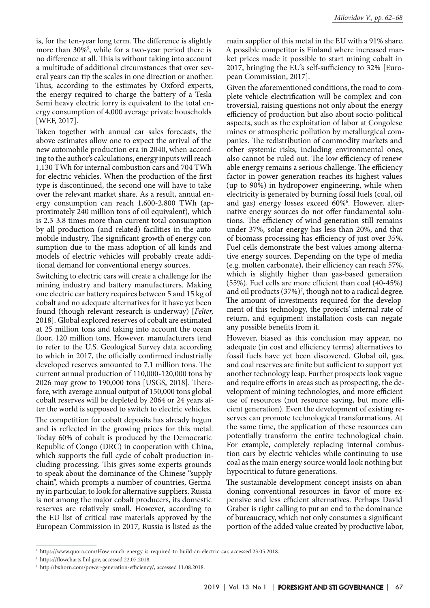is, for the ten-year long term. The difference is slightly more than 30%5 , while for a two-year period there is no difference at all. This is without taking into account a multitude of additional circumstances that over several years can tip the scales in one direction or another. Thus, according to the estimates by Oxford experts, the energy required to charge the battery of a Tesla Semi heavy electric lorry is equivalent to the total energy consumption of 4,000 average private households [WEF, 2017].

Taken together with annual car sales forecasts, the above estimates allow one to expect the arrival of the new automobile production era in 2040, when according to the author's calculations, energy inputs will reach 1,130 TWh for internal combustion cars and 704 TWh for electric vehicles. When the production of the first type is discontinued, the second one will have to take over the relevant market share. As a result, annual energy consumption can reach 1,600-2,800 TWh (approximately 240 million tons of oil equivalent), which is 2.3-3.8 times more than current total consumption by all production (and related) facilities in the automobile industry. The significant growth of energy consumption due to the mass adoption of all kinds and models of electric vehicles will probably create additional demand for conventional energy sources.

Switching to electric cars will create a challenge for the mining industry and battery manufacturers. Making one electric car battery requires between 5 and 15 kg of cobalt and no adequate alternatives for it have yet been found (though relevant research is underway) [*Felter,* 2018]. Global explored reserves of cobalt are estimated at 25 million tons and taking into account the ocean floor, 120 million tons. However, manufacturers tend to refer to the U.S. Geological Survey data according to which in 2017, the officially confirmed industrially developed reserves amounted to 7.1 million tons. The current annual production of 110,000-120,000 tons by 2026 may grow to 190,000 tons [USGS, 2018]. Therefore, with average annual output of 150,000 tons global cobalt reserves will be depleted by 2064 or 24 years after the world is supposed to switch to electric vehicles.

The competition for cobalt deposits has already begun and is reflected in the growing prices for this metal. Today 60% of cobalt is produced by the Democratic Republic of Congo (DRC) in cooperation with China, which supports the full cycle of cobalt production including processing. This gives some experts grounds to speak about the dominance of the Chinese "supply chain", which prompts a number of countries, Germany in particular, to look for alternative suppliers. Russia is not among the major cobalt producers, its domestic reserves are relatively small. However, according to the EU list of critical raw materials approved by the European Commission in 2017, Russia is listed as the

main supplier of this metal in the EU with a 91% share. A possible competitor is Finland where increased market prices made it possible to start mining cobalt in 2017, bringing the EU's self-sufficiency to 32% [European Commission, 2017].

Given the aforementioned conditions, the road to complete vehicle electrification will be complex and controversial, raising questions not only about the energy efficiency of production but also about socio-political aspects, such as the exploitation of labor at Congolese mines or atmospheric pollution by metallurgical companies. The redistribution of commodity markets and other systemic risks, including environmental ones, also cannot be ruled out. The low efficiency of renewable energy remains a serious challenge. The efficiency factor in power generation reaches its highest values (up to 90%) in hydropower engineering, while when electricity is generated by burning fossil fuels (coal, oil and gas) energy losses exceed 60%6 . However, alternative energy sources do not offer fundamental solutions. The efficiency of wind generation still remains under 37%, solar energy has less than 20%, and that of biomass processing has efficiency of just over 35%. Fuel cells demonstrate the best values among alternative energy sources. Depending on the type of media (e.g. molten carbonate), their efficiency can reach 57%, which is slightly higher than gas-based generation (55%). Fuel cells are more efficient than coal (40-45%) and oil products (37%)7 , though not to a radical degree. The amount of investments required for the development of this technology, the projects' internal rate of return, and equipment installation costs can negate any possible benefits from it.

However, biased as this conclusion may appear, no adequate (in cost and efficiency terms) alternatives to fossil fuels have yet been discovered. Global oil, gas, and coal reserves are finite but sufficient to support yet another technology leap. Further prospects look vague and require efforts in areas such as prospecting, the development of mining technologies, and more efficient use of resources (not resource saving, but more efficient generation). Even the development of existing reserves can promote technological transformations. At the same time, the application of these resources can potentially transform the entire technological chain. For example, completely replacing internal combustion cars by electric vehicles while continuing to use coal as the main energy source would look nothing but hypocritical to future generations.

The sustainable development concept insists on abandoning conventional resources in favor of more expensive and less efficient alternatives. Perhaps David Graber is right calling to put an end to the dominance of bureaucracy, which not only consumes a significant portion of the added value created by productive labor,

<sup>5</sup> https://www.quora.com/How-much-energy-is-required-to-build-an-electric-car, accessed 23.05.2018.

<sup>6</sup> https://flowcharts.llnl.gov, accessed 22.07.2018.

<sup>7</sup> http://bxhorn.com/power-generation-efficiency/, accessed 11.08.2018.